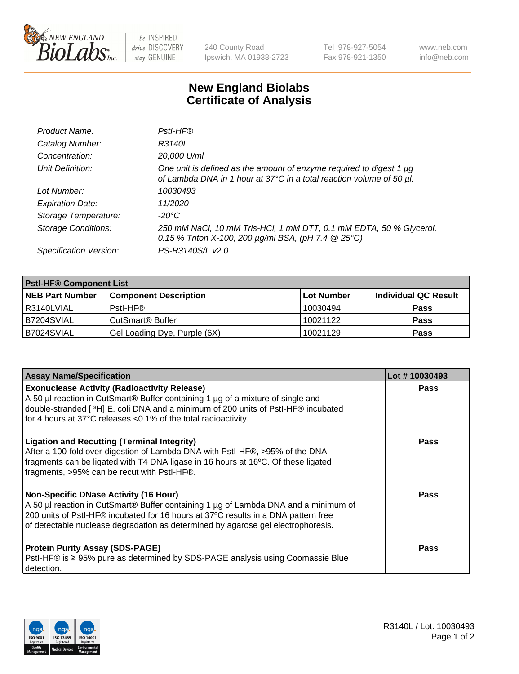

 $be$  INSPIRED drive DISCOVERY stay GENUINE

240 County Road Ipswich, MA 01938-2723 Tel 978-927-5054 Fax 978-921-1350 www.neb.com info@neb.com

## **New England Biolabs Certificate of Analysis**

| Product Name:              | Pstl-HF®                                                                                                                                             |
|----------------------------|------------------------------------------------------------------------------------------------------------------------------------------------------|
| Catalog Number:            | R3140L                                                                                                                                               |
| Concentration:             | 20,000 U/ml                                                                                                                                          |
| Unit Definition:           | One unit is defined as the amount of enzyme required to digest 1 µg<br>of Lambda DNA in 1 hour at 37°C in a total reaction volume of 50 µl.          |
| Lot Number:                | 10030493                                                                                                                                             |
| <b>Expiration Date:</b>    | 11/2020                                                                                                                                              |
| Storage Temperature:       | $-20^{\circ}$ C                                                                                                                                      |
| <b>Storage Conditions:</b> | 250 mM NaCl, 10 mM Tris-HCl, 1 mM DTT, 0.1 mM EDTA, 50 % Glycerol,<br>0.15 % Triton X-100, 200 $\mu$ g/ml BSA, (pH 7.4 $\textcircled{25}^{\circ}$ C) |
| Specification Version:     | PS-R3140S/L v2.0                                                                                                                                     |

| <b>PstI-HF® Component List</b> |                                    |                   |                      |  |
|--------------------------------|------------------------------------|-------------------|----------------------|--|
| <b>NEB Part Number</b>         | <b>Component Description</b>       | <b>Lot Number</b> | Individual QC Result |  |
| I R3140LVIAL                   | Pstl-HF®                           | 10030494          | <b>Pass</b>          |  |
| B7204SVIAL                     | <b>CutSmart<sup>®</sup> Buffer</b> | 10021122          | <b>Pass</b>          |  |
| B7024SVIAL                     | Gel Loading Dye, Purple (6X)       | 10021129          | <b>Pass</b>          |  |

| <b>Assay Name/Specification</b>                                                                                                                                                                                                                                                                               | Lot #10030493 |
|---------------------------------------------------------------------------------------------------------------------------------------------------------------------------------------------------------------------------------------------------------------------------------------------------------------|---------------|
| <b>Exonuclease Activity (Radioactivity Release)</b><br>A 50 µl reaction in CutSmart® Buffer containing 1 µg of a mixture of single and                                                                                                                                                                        | <b>Pass</b>   |
| double-stranded [3H] E. coli DNA and a minimum of 200 units of PstI-HF® incubated<br>for 4 hours at 37°C releases <0.1% of the total radioactivity.                                                                                                                                                           |               |
| <b>Ligation and Recutting (Terminal Integrity)</b><br>After a 100-fold over-digestion of Lambda DNA with PstI-HF®, >95% of the DNA<br>fragments can be ligated with T4 DNA ligase in 16 hours at 16°C. Of these ligated<br>fragments, >95% can be recut with PstI-HF®.                                        | Pass          |
| <b>Non-Specific DNase Activity (16 Hour)</b><br>A 50 µl reaction in CutSmart® Buffer containing 1 µg of Lambda DNA and a minimum of<br>200 units of PstI-HF® incubated for 16 hours at 37°C results in a DNA pattern free<br>of detectable nuclease degradation as determined by agarose gel electrophoresis. | <b>Pass</b>   |
| <b>Protein Purity Assay (SDS-PAGE)</b><br>PstI-HF® is ≥ 95% pure as determined by SDS-PAGE analysis using Coomassie Blue<br>I detection.                                                                                                                                                                      | Pass          |